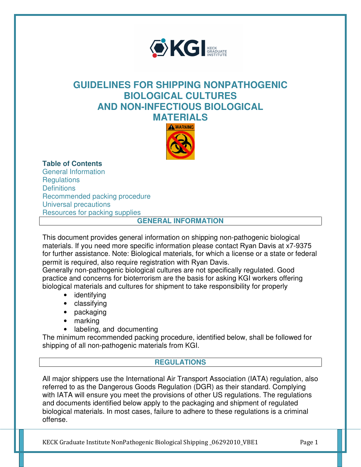

# **GUIDELINES FOR SHIPPING NONPATHOGENIC BIOLOGICAL CULTURES AND NON-INFECTIOUS BIOLOGICAL MATERIALS**



**Table of Contents** 

General Information **Regulations Definitions** Recommended packing procedure Universal precautions Resources for packing supplies

### **GENERAL INFORMATION**

This document provides general information on shipping non-pathogenic biological materials. If you need more specific information please contact Ryan Davis at x7-9375 for further assistance. Note: Biological materials, for which a license or a state or federal permit is required, also require registration with Ryan Davis.

Generally non-pathogenic biological cultures are not specifically regulated. Good practice and concerns for bioterrorism are the basis for asking KGI workers offering biological materials and cultures for shipment to take responsibility for properly

- identifying
- classifying
- packaging
- marking
- labeling, and documenting

The minimum recommended packing procedure, identified below, shall be followed for shipping of all non-pathogenic materials from KGI.

### **REGULATIONS**

All major shippers use the International Air Transport Association (IATA) regulation, also referred to as the Dangerous Goods Regulation (DGR) as their standard. Complying with IATA will ensure you meet the provisions of other US regulations. The regulations and documents identified below apply to the packaging and shipment of regulated biological materials. In most cases, failure to adhere to these regulations is a criminal offense.

KECK Graduate Institute NonPathogenic Biological Shipping \_06292010\_VBE1 Page 1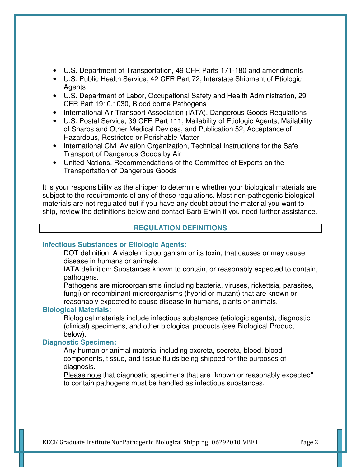- U.S. Department of Transportation, 49 CFR Parts 171-180 and amendments
- U.S. Public Health Service, 42 CFR Part 72, Interstate Shipment of Etiologic Agents
- U.S. Department of Labor, Occupational Safety and Health Administration, 29 CFR Part 1910.1030, Blood borne Pathogens
- International Air Transport Association (IATA), Dangerous Goods Regulations
- U.S. Postal Service, 39 CFR Part 111, Mailability of Etiologic Agents, Mailability of Sharps and Other Medical Devices, and Publication 52, Acceptance of Hazardous, Restricted or Perishable Matter
- International Civil Aviation Organization, Technical Instructions for the Safe Transport of Dangerous Goods by Air
- United Nations, Recommendations of the Committee of Experts on the Transportation of Dangerous Goods

It is your responsibility as the shipper to determine whether your biological materials are subject to the requirements of any of these regulations. Most non-pathogenic biological materials are not regulated but if you have any doubt about the material you want to ship, review the definitions below and contact Barb Erwin if you need further assistance.

### **REGULATION DEFINITIONS**

### **Infectious Substances or Etiologic Agents**:

DOT definition: A viable microorganism or its toxin, that causes or may cause disease in humans or animals.

IATA definition: Substances known to contain, or reasonably expected to contain, pathogens.

Pathogens are microorganisms (including bacteria, viruses, rickettsia, parasites, fungi) or recombinant microorganisms (hybrid or mutant) that are known or

reasonably expected to cause disease in humans, plants or animals.

### **Biological Materials:**

Biological materials include infectious substances (etiologic agents), diagnostic (clinical) specimens, and other biological products (see Biological Product below).

### **Diagnostic Specimen:**

Any human or animal material including excreta, secreta, blood, blood components, tissue, and tissue fluids being shipped for the purposes of diagnosis.

Please note that diagnostic specimens that are "known or reasonably expected" to contain pathogens must be handled as infectious substances.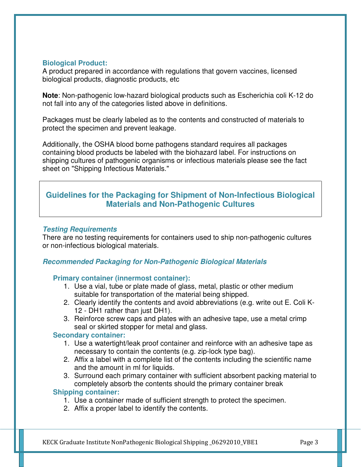### **Biological Product:**

A product prepared in accordance with regulations that govern vaccines, licensed biological products, diagnostic products, etc

**Note**: Non-pathogenic low-hazard biological products such as Escherichia coli K-12 do not fall into any of the categories listed above in definitions.

Packages must be clearly labeled as to the contents and constructed of materials to protect the specimen and prevent leakage.

Additionally, the OSHA blood borne pathogens standard requires all packages containing blood products be labeled with the biohazard label. For instructions on shipping cultures of pathogenic organisms or infectious materials please see the fact sheet on "Shipping Infectious Materials."

# **Guidelines for the Packaging for Shipment of Non-Infectious Biological Materials and Non-Pathogenic Cultures**

### **Testing Requirements**

There are no testing requirements for containers used to ship non-pathogenic cultures or non-infectious biological materials.

# **Recommended Packaging for Non-Pathogenic Biological Materials**

### **Primary container (innermost container):**

- 1. Use a vial, tube or plate made of glass, metal, plastic or other medium suitable for transportation of the material being shipped.
- 2. Clearly identify the contents and avoid abbreviations (e.g. write out E. Coli K-12 - DH1 rather than just DH1).
- 3. Reinforce screw caps and plates with an adhesive tape, use a metal crimp seal or skirted stopper for metal and glass.

### **Secondary container:**

- 1. Use a watertight/leak proof container and reinforce with an adhesive tape as necessary to contain the contents (e.g. zip-lock type bag).
- 2. Affix a label with a complete list of the contents including the scientific name and the amount in ml for liquids.
- 3. Surround each primary container with sufficient absorbent packing material to completely absorb the contents should the primary container break

### **Shipping container:**

- 1. Use a container made of sufficient strength to protect the specimen.
- 2. Affix a proper label to identify the contents.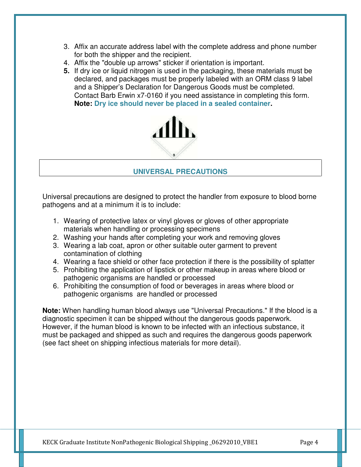- 3. Affix an accurate address label with the complete address and phone number for both the shipper and the recipient.
- 4. Affix the "double up arrows" sticker if orientation is important.
- **5.** If dry ice or liquid nitrogen is used in the packaging, these materials must be declared, and packages must be properly labeled with an ORM class 9 label and a Shipper's Declaration for Dangerous Goods must be completed. Contact Barb Erwin x7-0160 if you need assistance in completing this form. **Note: Dry ice should never be placed in a sealed container.**



# **UNIVERSAL PRECAUTIONS**

Universal precautions are designed to protect the handler from exposure to blood borne pathogens and at a minimum it is to include:

- 1. Wearing of protective latex or vinyl gloves or gloves of other appropriate materials when handling or processing specimens
- 2. Washing your hands after completing your work and removing gloves
- 3. Wearing a lab coat, apron or other suitable outer garment to prevent contamination of clothing
- 4. Wearing a face shield or other face protection if there is the possibility of splatter
- 5. Prohibiting the application of lipstick or other makeup in areas where blood or pathogenic organisms are handled or processed
- 6. Prohibiting the consumption of food or beverages in areas where blood or pathogenic organisms are handled or processed

**Note:** When handling human blood always use "Universal Precautions." If the blood is a diagnostic specimen it can be shipped without the dangerous goods paperwork. However, if the human blood is known to be infected with an infectious substance, it must be packaged and shipped as such and requires the dangerous goods paperwork (see fact sheet on shipping infectious materials for more detail).